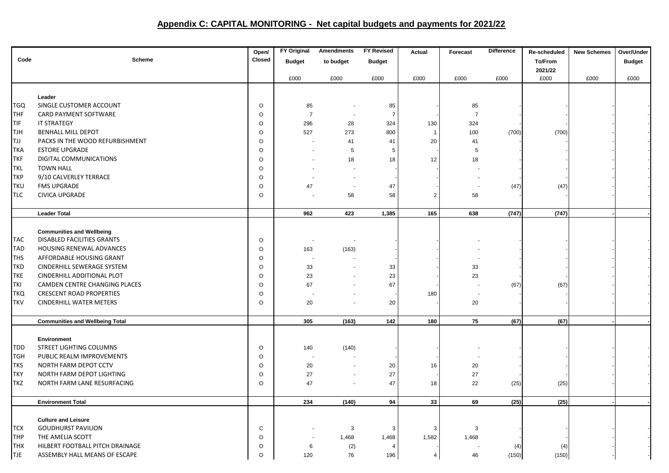## **Appendix C: CAPITAL MONITORING - Net capital budgets and payments for 2021/22**

|            |                                        | Open/    | <b>FY Original</b>       | <b>Amendments</b>        | <b>FY Revised</b> | Actual         | Forecast       | <b>Difference</b> | Re-scheduled | <b>New Schemes</b> | Over/Under    |
|------------|----------------------------------------|----------|--------------------------|--------------------------|-------------------|----------------|----------------|-------------------|--------------|--------------------|---------------|
| Code       | <b>Scheme</b>                          | Closed   | <b>Budget</b>            | to budget                | <b>Budget</b>     |                |                |                   | To/From      |                    | <b>Budget</b> |
|            |                                        |          |                          |                          |                   |                |                |                   | 2021/22      |                    |               |
|            |                                        |          | £000                     | £000                     | £000              | £000           | £000           | £000              | £000         | £000               | £000          |
|            |                                        |          |                          |                          |                   |                |                |                   |              |                    |               |
|            | Leader                                 |          |                          |                          |                   |                |                |                   |              |                    |               |
| TGQ        | SINGLE CUSTOMER ACCOUNT                | $\circ$  | 85                       |                          | 85                |                | 85             |                   |              |                    |               |
| <b>THF</b> | CARD PAYMENT SOFTWARE                  | $\circ$  | $\overline{7}$           | $\overline{\phantom{a}}$ | $\overline{7}$    |                | $\overline{7}$ |                   |              |                    |               |
| TIF        | <b>IT STRATEGY</b>                     | O        | 296                      | 28                       | 324               | 130            | 324            |                   |              |                    |               |
| <b>TJH</b> | <b>BENHALL MILL DEPOT</b>              | O        | 527                      | 273                      | 800               | $\overline{1}$ | 100            | (700)             | (700)        |                    |               |
| <b>LLT</b> | PACKS IN THE WOOD REFURBISHMENT        | $\circ$  |                          | 41                       | 41                | 20             | 41             |                   |              |                    |               |
| <b>TKA</b> | <b>ESTORE UPGRADE</b>                  | O        |                          | 5                        | 5                 |                | 5              |                   |              |                    |               |
| <b>TKF</b> | DIGITAL COMMUNICATIONS                 | O        |                          | 18                       | 18                | 12             | 18             |                   |              |                    |               |
| <b>TKL</b> | <b>TOWN HALL</b>                       | O        |                          |                          |                   |                |                |                   |              |                    |               |
| <b>TKP</b> | 9/10 CALVERLEY TERRACE                 | $\circ$  |                          |                          |                   |                |                |                   |              |                    |               |
| <b>TKU</b> | <b>FMS UPGRADE</b>                     | $\circ$  | 47                       | $\sim$                   | 47                |                |                | (47)              | (47)         |                    |               |
| <b>TLC</b> | <b>CIVICA UPGRADE</b>                  | O        |                          | 58                       | 58                | $\overline{2}$ | 58             |                   |              |                    |               |
|            |                                        |          |                          |                          |                   |                |                |                   |              |                    |               |
|            | <b>Leader Total</b>                    |          | 962                      | 423                      | 1,385             | 165            | 638            | (747)             | (747)        |                    |               |
|            |                                        |          |                          |                          |                   |                |                |                   |              |                    |               |
|            | <b>Communities and Wellbeing</b>       |          |                          |                          |                   |                |                |                   |              |                    |               |
| <b>TAC</b> | <b>DISABLED FACILITIES GRANTS</b>      | $\circ$  |                          |                          |                   |                |                |                   |              |                    |               |
| <b>TAD</b> | HOUSING RENEWAL ADVANCES               | $\circ$  | 163                      | (163)                    |                   |                |                |                   |              |                    |               |
| <b>THS</b> | AFFORDABLE HOUSING GRANT               | $\circ$  |                          |                          |                   |                |                |                   |              |                    |               |
| <b>TKD</b> | CINDERHILL SEWERAGE SYSTEM             | O        | 33                       |                          | 33                |                | 33             |                   |              |                    |               |
| <b>TKE</b> | CINDERHILL ADDITIONAL PLOT             | $\circ$  | 23                       |                          | 23                |                | 23             |                   |              |                    |               |
| <b>TKI</b> | CAMDEN CENTRE CHANGING PLACES          | $\circ$  | 67                       |                          | 67                |                |                | (67)              | (67)         |                    |               |
| <b>TKQ</b> | <b>CRESCENT ROAD PROPERTIES</b>        | $\circ$  |                          |                          |                   | 180            |                |                   |              |                    |               |
| <b>TKV</b> | <b>CINDERHILL WATER METERS</b>         | $\circ$  | 20                       |                          | 20                |                | 20             |                   |              |                    |               |
|            |                                        |          |                          |                          |                   |                |                |                   |              |                    |               |
|            | <b>Communities and Wellbeing Total</b> |          | 305                      | (163)                    | 142               | 180            | 75             | (67)              | (67)         |                    |               |
|            | <b>Environment</b>                     |          |                          |                          |                   |                |                |                   |              |                    |               |
| <b>TDD</b> | STREET LIGHTING COLUMNS                | $\circ$  | 140                      | (140)                    |                   |                |                |                   |              |                    |               |
| <b>TGH</b> | PUBLIC REALM IMPROVEMENTS              | $\circ$  | $\overline{\phantom{a}}$ |                          |                   |                |                |                   |              |                    |               |
| <b>TKS</b> | NORTH FARM DEPOT CCTV                  | $\circ$  | 20                       |                          |                   | 16             | 20             |                   |              |                    |               |
|            | NORTH FARM DEPOT LIGHTING              | $\circ$  |                          |                          | 20                |                |                |                   |              |                    |               |
| <b>TKY</b> |                                        |          | 27                       | $\blacksquare$           | 27                |                | 27             |                   |              |                    |               |
| <b>TKZ</b> | NORTH FARM LANE RESURFACING            | $\circ$  | 47                       |                          | 47                | 18             | 22             | (25)              | (25)         |                    |               |
|            | <b>Environment Total</b>               |          | 234                      | (140)                    | 94                | 33             | 69             | (25)              | (25)         |                    |               |
|            |                                        |          |                          |                          |                   |                |                |                   |              |                    |               |
|            | <b>Culture and Leisure</b>             |          |                          |                          |                   |                |                |                   |              |                    |               |
| <b>TCX</b> | <b>GOUDHURST PAVILION</b>              | C        |                          | 3                        | 3                 | 3              | 3              |                   |              |                    |               |
| <b>THP</b> | THE AMELIA SCOTT                       | O        |                          | 1,468                    | 1,468             | 1,582          | 1,468          |                   |              |                    |               |
| <b>THX</b> | HILBERT FOOTBALL PITCH DRAINAGE        | O        | 6                        | (2)                      | $\overline{4}$    |                |                | (4)               | (4)          |                    |               |
| <b>TJE</b> | ASSEMBLY HALL MEANS OF ESCAPE          | $\Omega$ | 120                      | 76                       | 196               | 4              | 46             | (150)             | (150)        |                    |               |